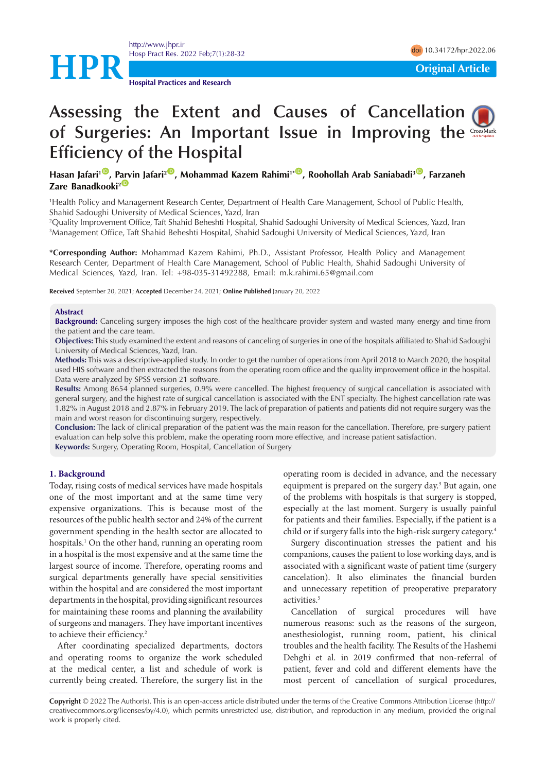<http://www.jhpr.ir> Hosp Pract Res. 2022 Feb;7(1):28-32 doi [10.34172/hpr.2022.06](https://doi.org/10.34172/hpr.2022.06)



**Hospital Practices and Research**

# Assessingthe Extent and Causes of Cancellation ( **of Surgeries: An Important Issue in Improving the Efficiency of the Hospital**

**Hasan Jafari<sup>1</sup><sup>®</sup>, [Parv](https://orcid.org/0000-0003-0657-6046)in Jafari<sup>2®</sup>, Mohammad Kazem Rahimi<sup>1\*®</sup>, Roohollah Arab Saniabadi<sup>3®</sup>, Farzaneh Zare Banadkooki<sup>2</sup>** 

1 Health Policy and Management Research Center, Department of Health Care Management, School of Public Health, Shahid Sadoughi University of Medical Sciences, Yazd, Iran

2 Quality Improvement Office, Taft Shahid Beheshti Hospital, Shahid Sadoughi University of Medical Sciences, Yazd, Iran 3 Management Office, Taft Shahid Beheshti Hospital, Shahid Sadoughi University of Medical Sciences, Yazd, Iran

**\*Corresponding Author:** Mohammad Kazem Rahimi, Ph.D., Assistant Professor, Health Policy and Management Research Center, Department of Health Care Management, School of Public Health, Shahid Sadoughi University of Medical Sciences, Yazd, Iran. Tel: +98-035-31492288, Email: m.k.rahimi.65@gmail.com

**Received** September 20, 2021; **Accepted** December 24, 2021; **Online Published** January 20, 2022

### **Abstract**

**Background:** Canceling surgery imposes the high cost of the healthcare provider system and wasted many energy and time from the patient and the care team.

**Objectives:** This study examined the extent and reasons of canceling of surgeries in one of the hospitals affiliated to Shahid Sadoughi University of Medical Sciences, Yazd, Iran.

**Methods:** This was a descriptive-applied study. In order to get the number of operations from April 2018 to March 2020, the hospital used HIS software and then extracted the reasons from the operating room office and the quality improvement office in the hospital. Data were analyzed by SPSS version 21 software.

**Results:** Among 8654 planned surgeries, 0.9% were cancelled. The highest frequency of surgical cancellation is associated with general surgery, and the highest rate of surgical cancellation is associated with the ENT specialty. The highest cancellation rate was 1.82% in August 2018 and 2.87% in February 2019. The lack of preparation of patients and patients did not require surgery was the main and worst reason for discontinuing surgery, respectively.

**Conclusion:** The lack of clinical preparation of the patient was the main reason for the cancellation. Therefore, pre-surgery patient evaluation can help solve this problem, make the operating room more effective, and increase patient satisfaction. **Keywords:** Surgery, Operating Room, Hospital, Cancellation of Surgery

## **1. Background**

Today, rising costs of medical services have made hospitals one of the most important and at the same time very expensive organizations. This is because most of the resources of the public health sector and 24% of the current government spending in the health sector are allocated to hospitals.1 On the other hand, running an operating room in a hospital is the most expensive and at the same time the largest source of income. Therefore, operating rooms and surgical departments generally have special sensitivities within the hospital and are considered the most important departments in the hospital, providing significant resources for maintaining these rooms and planning the availability of surgeons and managers. They have important incentives to achieve their efficiency.<sup>2</sup>

After coordinating specialized departments, doctors and operating rooms to organize the work scheduled at the medical center, a list and schedule of work is currently being created. Therefore, the surgery list in the operating room is decided in advance, and the necessary equipment is prepared on the surgery day.<sup>3</sup> But again, one of the problems with hospitals is that surgery is stopped, especially at the last moment. Surgery is usually painful for patients and their families. Especially, if the patient is a child or if surgery falls into the high-risk surgery category.4

Surgery discontinuation stresses the patient and his companions, causes the patient to lose working days, and is associated with a significant waste of patient time (surgery cancelation). It also eliminates the financial burden and unnecessary repetition of preoperative preparatory activities.5

Cancellation of surgical procedures will have numerous reasons: such as the reasons of the surgeon, anesthesiologist, running room, patient, his clinical troubles and the health facility. The Results of the Hashemi Dehghi et al. in 2019 confirmed that non-referral of patient, fever and cold and different elements have the most percent of cancellation of surgical procedures,

**Copyright** © 2022 The Author(s). This is an open-access article distributed under the terms of the Creative Commons Attribution License (http:// creativecommons.org/licenses/by/4.0), which permits unrestricted use, distribution, and reproduction in any medium, provided the original work is properly cited.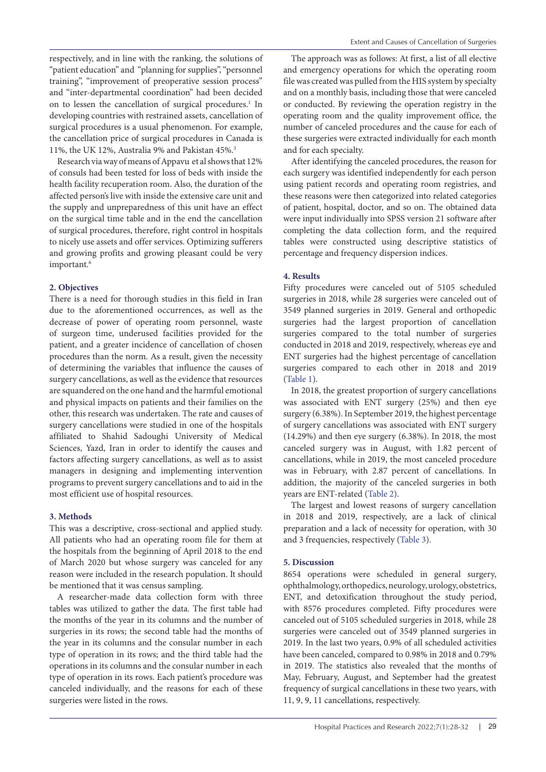respectively, and in line with the ranking, the solutions of "patient education" and "planning for supplies", "personnel training", "improvement of preoperative session process" and "inter-departmental coordination" had been decided on to lessen the cancellation of surgical procedures.<sup>1</sup> In developing countries with restrained assets, cancellation of surgical procedures is a usual phenomenon. For example, the cancellation price of surgical procedures in Canada is 11%, the UK 12%, Australia 9% and Pakistan 45%.3

Research via way of means of Appavu et al shows that 12% of consuls had been tested for loss of beds with inside the health facility recuperation room. Also, the duration of the affected person's live with inside the extensive care unit and the supply and unpreparedness of this unit have an effect on the surgical time table and in the end the cancellation of surgical procedures, therefore, right control in hospitals to nicely use assets and offer services. Optimizing sufferers and growing profits and growing pleasant could be very important.<sup>6</sup>

# **2. Objectives**

There is a need for thorough studies in this field in Iran due to the aforementioned occurrences, as well as the decrease of power of operating room personnel, waste of surgeon time, underused facilities provided for the patient, and a greater incidence of cancellation of chosen procedures than the norm. As a result, given the necessity of determining the variables that influence the causes of surgery cancellations, as well as the evidence that resources are squandered on the one hand and the harmful emotional and physical impacts on patients and their families on the other, this research was undertaken. The rate and causes of surgery cancellations were studied in one of the hospitals affiliated to Shahid Sadoughi University of Medical Sciences, Yazd, Iran in order to identify the causes and factors affecting surgery cancellations, as well as to assist managers in designing and implementing intervention programs to prevent surgery cancellations and to aid in the most efficient use of hospital resources.

# **3. Methods**

This was a descriptive, cross-sectional and applied study. All patients who had an operating room file for them at the hospitals from the beginning of April 2018 to the end of March 2020 but whose surgery was canceled for any reason were included in the research population. It should be mentioned that it was census sampling.

A researcher-made data collection form with three tables was utilized to gather the data. The first table had the months of the year in its columns and the number of surgeries in its rows; the second table had the months of the year in its columns and the consular number in each type of operation in its rows; and the third table had the operations in its columns and the consular number in each type of operation in its rows. Each patient's procedure was canceled individually, and the reasons for each of these surgeries were listed in the rows.

The approach was as follows: At first, a list of all elective and emergency operations for which the operating room file was created was pulled from the HIS system by specialty and on a monthly basis, including those that were canceled or conducted. By reviewing the operation registry in the operating room and the quality improvement office, the number of canceled procedures and the cause for each of these surgeries were extracted individually for each month and for each specialty.

After identifying the canceled procedures, the reason for each surgery was identified independently for each person using patient records and operating room registries, and these reasons were then categorized into related categories of patient, hospital, doctor, and so on. The obtained data were input individually into SPSS version 21 software after completing the data collection form, and the required tables were constructed using descriptive statistics of percentage and frequency dispersion indices.

# **4. Results**

Fifty procedures were canceled out of 5105 scheduled surgeries in 2018, while 28 surgeries were canceled out of 3549 planned surgeries in 2019. General and orthopedic surgeries had the largest proportion of cancellation surgeries compared to the total number of surgeries conducted in 2018 and 2019, respectively, whereas eye and ENT surgeries had the highest percentage of cancellation surgeries compared to each other in 2018 and 2019 [\(Table 1\)](#page-2-0).

In 2018, the greatest proportion of surgery cancellations was associated with ENT surgery (25%) and then eye surgery (6.38%). In September 2019, the highest percentage of surgery cancellations was associated with ENT surgery (14.29%) and then eye surgery (6.38%). In 2018, the most canceled surgery was in August, with 1.82 percent of cancellations, while in 2019, the most canceled procedure was in February, with 2.87 percent of cancellations. In addition, the majority of the canceled surgeries in both years are ENT-related [\(Table 2\)](#page-2-1).

The largest and lowest reasons of surgery cancellation in 2018 and 2019, respectively, are a lack of clinical preparation and a lack of necessity for operation, with 30 and 3 frequencies, respectively [\(Table 3\)](#page-2-2).

# **5. Discussion**

8654 operations were scheduled in general surgery, ophthalmology, orthopedics, neurology, urology, obstetrics, ENT, and detoxification throughout the study period, with 8576 procedures completed. Fifty procedures were canceled out of 5105 scheduled surgeries in 2018, while 28 surgeries were canceled out of 3549 planned surgeries in 2019. In the last two years, 0.9% of all scheduled activities have been canceled, compared to 0.98% in 2018 and 0.79% in 2019. The statistics also revealed that the months of May, February, August, and September had the greatest frequency of surgical cancellations in these two years, with 11, 9, 9, 11 cancellations, respectively.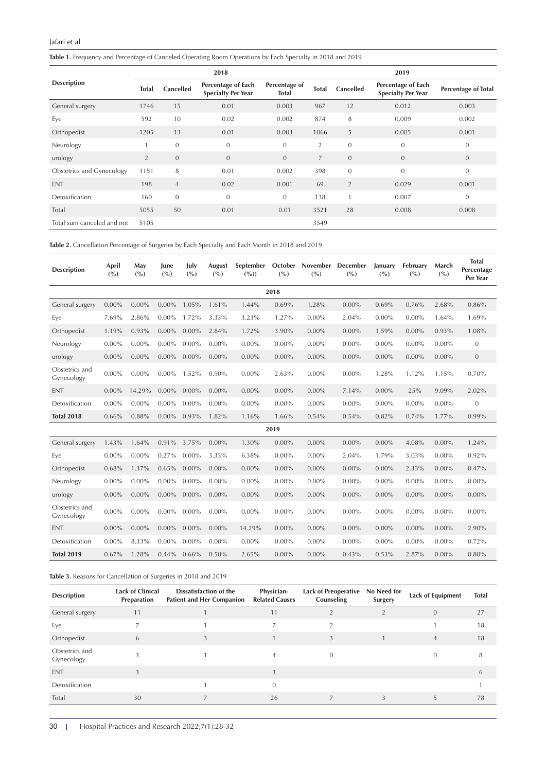# Jafari et al

<span id="page-2-0"></span>**Table 1.** Frequency and Percentage of Canceled Operating Room Operations by Each Specialty in 2018 and 2019

|                            | 2018           |                  |                                                 |                               |                | 2019           |                                                 |                     |  |  |  |
|----------------------------|----------------|------------------|-------------------------------------------------|-------------------------------|----------------|----------------|-------------------------------------------------|---------------------|--|--|--|
| <b>Description</b>         | <b>Total</b>   | <b>Cancelled</b> | Percentage of Each<br><b>Specialty Per Year</b> | Percentage of<br><b>Total</b> | <b>Total</b>   |                | Percentage of Each<br><b>Specialty Per Year</b> | Percentage of Total |  |  |  |
| General surgery            | 1746           | 15               | 0.01                                            | 0.003                         | 967            | 12             | 0.012                                           | 0.003               |  |  |  |
| Eye                        | 592            | 10               | 0.02                                            | 0.002                         | 874            | 8              | 0.009                                           | 0.002               |  |  |  |
| Orthopedist                | 1205           | 13               | 0.01                                            | 0.003                         | 1066           | 5              | 0.005                                           | 0.001               |  |  |  |
| Neurology                  |                | $\mathbf{0}$     | $\overline{0}$                                  | $\boldsymbol{0}$              | 2              | $\mathbf{0}$   | $\mathbf{0}$                                    | $\mathbf{0}$        |  |  |  |
| urology                    | $\overline{2}$ | $\mathbf{0}$     | $\overline{0}$                                  | $\overline{0}$                | $\overline{7}$ | $\mathbf{0}$   | $\mathbf{0}$                                    | $\mathbf{0}$        |  |  |  |
| Obstetrics and Gynecology  | 1151           | 8                | 0.01                                            | 0.002                         | 398            | $\overline{0}$ | $\Omega$                                        | $\mathbf{0}$        |  |  |  |
| <b>ENT</b>                 | 198            | $\overline{4}$   | 0.02                                            | 0.001                         | 69             | $\overline{2}$ | 0.029                                           | 0.001               |  |  |  |
| Detoxification             | 160            | $\mathbf{0}$     | $\overline{0}$                                  | $\mathbf{0}$                  | 138            | $\mathbf{1}$   | 0.007                                           | $\mathbf{0}$        |  |  |  |
| Total                      | 5055           | 50               | 0.01                                            | 0.01                          | 3521           | 28             | 0.008                                           | 0.008               |  |  |  |
| Total sum canceled and not | 5105           |                  |                                                 |                               | 3549           |                |                                                 |                     |  |  |  |

<span id="page-2-1"></span>**Table 2.** Cancellation Percentage of Surgeries by Each Specialty and Each Month in 2018 and 2019

| <b>Description</b>           | April<br>( %) | May<br>(° <sub>o</sub> ) | June<br>(° <sub>0</sub> ) | July<br>(° <sub>0</sub> ) | August<br>(%) | $(\%))$  | (%)      | September October November December<br>( %) | (%)      | January<br>(° <sub>o</sub> ) | February<br>(° <sub>o</sub> ) | March<br>( %) | <b>Total</b><br>Percentage<br>Per Year |
|------------------------------|---------------|--------------------------|---------------------------|---------------------------|---------------|----------|----------|---------------------------------------------|----------|------------------------------|-------------------------------|---------------|----------------------------------------|
| 2018                         |               |                          |                           |                           |               |          |          |                                             |          |                              |                               |               |                                        |
| General surgery              | $0.00\%$      | $0.00\%$                 | $0.00\%$                  | 1.05%                     | 1.61%         | 1.44%    | 0.69%    | 1.28%                                       | $0.00\%$ | 0.69%                        | 0.76%                         | 2.68%         | 0.86%                                  |
| Eve                          | 7.69%         | 2.86%                    | $0.00\%$                  | 1.72%                     | 3.33%         | 3.23%    | 1.27%    | $0.00\%$                                    | 2.04%    | $0.00\%$                     | $0.00\%$                      | 1.64%         | 1.69%                                  |
| Orthopedist                  | 1.19%         | 0.93%                    | $0.00\%$                  | $0.00\%$                  | 2.84%         | 1.72%    | 3.90%    | $0.00\%$                                    | $0.00\%$ | 1.59%                        | $0.00\%$                      | 0.93%         | 1.08%                                  |
| Neurology                    | $0.00\%$      | $0.00\%$                 | $0.00\%$                  | $0.00\%$                  | $0.00\%$      | $0.00\%$ | $0.00\%$ | $0.00\%$                                    | $0.00\%$ | $0.00\%$                     | $0.00\%$                      | $0.00\%$      | $\mathbf{0}$                           |
| urology                      | $0.00\%$      | $0.00\%$                 | $0.00\%$                  | $0.00\%$                  | $0.00\%$      | $0.00\%$ | $0.00\%$ | $0.00\%$                                    | $0.00\%$ | $0.00\%$                     | $0.00\%$                      | $0.00\%$      | $\mathbf{0}$                           |
| Obstetrics and<br>Gynecology | $0.00\%$      | $0.00\%$                 | $0.00\%$ 1.52%            |                           | 0.90%         | $0.00\%$ | 2.63%    | $0.00\%$                                    | $0.00\%$ | 1.28%                        | 1.12%                         | 1.15%         | 0.70%                                  |
| <b>ENT</b>                   | $0.00\%$      | 14.29%                   | $0.00\%$                  | $0.00\%$                  | $0.00\%$      | $0.00\%$ | $0.00\%$ | $0.00\%$                                    | 7.14%    | $0.00\%$                     | 25%                           | 9.09%         | 2.02%                                  |
| Detoxification               | $0.00\%$      | $0.00\%$                 | $0.00\%$                  | $0.00\%$                  | $0.00\%$      | $0.00\%$ | $0.00\%$ | $0.00\%$                                    | $0.00\%$ | $0.00\%$                     | $0.00\%$                      | $0.00\%$      | $\overline{0}$                         |
| <b>Total 2018</b>            | 0.66%         | 0.88%                    | $0.00\%$                  | $0.93\%$                  | 1.82%         | 1.16%    | 1.66%    | 0.54%                                       | 0.54%    | 0.82%                        | 0.74%                         | 1.77%         | 0.99%                                  |
|                              |               |                          |                           |                           |               |          | 2019     |                                             |          |                              |                               |               |                                        |
| General surgery              | 1.43%         | 1.64%                    | $0.91\%$ 3.75%            |                           | $0.00\%$      | 1.30%    | $0.00\%$ | $0.00\%$                                    | $0.00\%$ | $0.00\%$                     | 4.08%                         | $0.00\%$      | 1.24%                                  |
| Eve                          | $0.00\%$      | $0.00\%$                 | $0.27\%$                  | $0.00\%$                  | 3.33%         | 6.38%    | $0.00\%$ | $0.00\%$                                    | 2.04%    | 1.79%                        | 3.03%                         | $0.00\%$      | 0.92%                                  |
| Orthopedist                  | 0.68%         | 1.37%                    | $0.65\%$                  | $0.00\%$                  | $0.00\%$      | $0.00\%$ | $0.00\%$ | $0.00\%$                                    | $0.00\%$ | $0.00\%$                     | 2.33%                         | $0.00\%$      | 0.47%                                  |
| Neurology                    | $0.00\%$      | $0.00\%$                 | $0.00\%$                  | $0.00\%$                  | $0.00\%$      | $0.00\%$ | $0.00\%$ | $0.00\%$                                    | $0.00\%$ | $0.00\%$                     | $0.00\%$                      | $0.00\%$      | $0.00\%$                               |
| urology                      | $0.00\%$      | $0.00\%$                 | $0.00\%$                  | $0.00\%$                  | $0.00\%$      | $0.00\%$ | $0.00\%$ | $0.00\%$                                    | $0.00\%$ | $0.00\%$                     | $0.00\%$                      | $0.00\%$      | $0.00\%$                               |
| Obstetrics and<br>Gynecology | $0.00\%$      | $0.00\%$                 | $0.00\%$                  | $0.00\%$                  | $0.00\%$      | $0.00\%$ | $0.00\%$ | $0.00\%$                                    | $0.00\%$ | $0.00\%$                     | $0.00\%$                      | $0.00\%$      | $0.00\%$                               |
| <b>ENT</b>                   | $0.00\%$      | $0.00\%$                 | $0.00\%$                  | $0.00\%$                  | $0.00\%$      | 14.29%   | $0.00\%$ | $0.00\%$                                    | $0.00\%$ | $0.00\%$                     | $0.00\%$                      | $0.00\%$      | 2.90%                                  |
| Detoxification               | $0.00\%$      | 8.33%                    | $0.00\%$                  | $0.00\%$                  | $0.00\%$      | $0.00\%$ | $0.00\%$ | $0.00\%$                                    | $0.00\%$ | $0.00\%$                     | $0.00\%$                      | $0.00\%$      | 0.72%                                  |
| <b>Total 2019</b>            | 0.67%         | 1.28%                    | $0.44\%$                  | 0.66%                     | 0.50%         | 2.65%    | $0.00\%$ | $0.00\%$                                    | 0.43%    | 0.53%                        | 2.87%                         | $0.00\%$      | 0.80%                                  |

<span id="page-2-2"></span>**Table 3.** Reasons for Cancellation of Surgeries in 2018 and 2019

| <b>Description</b>           | <b>Lack of Clinical</b><br>Preparation | Dissatisfaction of the<br><b>Patient and Her Companion</b> | Physician-<br><b>Related Causes</b> | <b>Lack of Preoperative</b><br>Counseling | No Need for<br>Surgery | <b>Lack of Equipment</b> | <b>Total</b> |
|------------------------------|----------------------------------------|------------------------------------------------------------|-------------------------------------|-------------------------------------------|------------------------|--------------------------|--------------|
| General surgery              | 11                                     |                                                            | 11                                  |                                           |                        | $\Omega$                 | 27           |
| Eye                          |                                        |                                                            |                                     |                                           |                        |                          | 18           |
| Orthopedist                  | 6                                      |                                                            |                                     |                                           |                        | $\overline{4}$           | 18           |
| Obstetrics and<br>Gynecology |                                        |                                                            |                                     |                                           |                        |                          | 8            |
| <b>ENT</b>                   |                                        |                                                            |                                     |                                           |                        |                          | <sub>b</sub> |
| Detoxification               |                                        |                                                            | $\Omega$                            |                                           |                        |                          |              |
| Total                        | 30                                     |                                                            | 26                                  |                                           |                        |                          | 78           |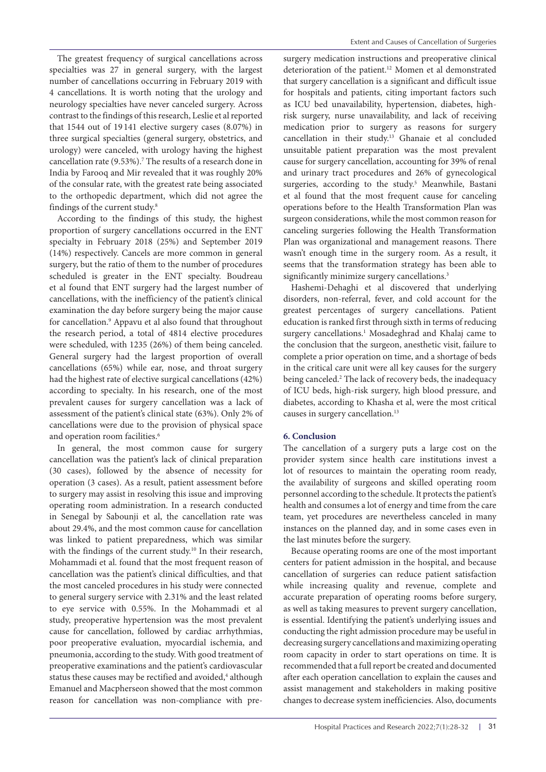The greatest frequency of surgical cancellations across specialties was 27 in general surgery, with the largest number of cancellations occurring in February 2019 with 4 cancellations. It is worth noting that the urology and neurology specialties have never canceled surgery. Across contrast to the findings of this research, Leslie et al reported that 1544 out of 19 141 elective surgery cases (8.07%) in three surgical specialties (general surgery, obstetrics, and urology) were canceled, with urology having the highest cancellation rate (9.53%).7 The results of a research done in India by Farooq and Mir revealed that it was roughly 20% of the consular rate, with the greatest rate being associated to the orthopedic department, which did not agree the findings of the current study.8

According to the findings of this study, the highest proportion of surgery cancellations occurred in the ENT specialty in February 2018 (25%) and September 2019 (14%) respectively. Cancels are more common in general surgery, but the ratio of them to the number of procedures scheduled is greater in the ENT specialty. Boudreau et al found that ENT surgery had the largest number of cancellations, with the inefficiency of the patient's clinical examination the day before surgery being the major cause for cancellation.9 Appavu et al also found that throughout the research period, a total of 4814 elective procedures were scheduled, with 1235 (26%) of them being canceled. General surgery had the largest proportion of overall cancellations (65%) while ear, nose, and throat surgery had the highest rate of elective surgical cancellations (42%) according to specialty. In his research, one of the most prevalent causes for surgery cancellation was a lack of assessment of the patient's clinical state (63%). Only 2% of cancellations were due to the provision of physical space and operation room facilities.<sup>6</sup>

In general, the most common cause for surgery cancellation was the patient's lack of clinical preparation (30 cases), followed by the absence of necessity for operation (3 cases). As a result, patient assessment before to surgery may assist in resolving this issue and improving operating room administration. In a research conducted in Senegal by Sabounji et al, the cancellation rate was about 29.4%, and the most common cause for cancellation was linked to patient preparedness, which was similar with the findings of the current study.<sup>10</sup> In their research, Mohammadi et al. found that the most frequent reason of cancellation was the patient's clinical difficulties, and that the most canceled procedures in his study were connected to general surgery service with 2.31% and the least related to eye service with 0.55%. In the Mohammadi et al study, preoperative hypertension was the most prevalent cause for cancellation, followed by cardiac arrhythmias, poor preoperative evaluation, myocardial ischemia, and pneumonia, according to the study. With good treatment of preoperative examinations and the patient's cardiovascular status these causes may be rectified and avoided,<sup>4</sup> although Emanuel and Macpherseon showed that the most common reason for cancellation was non-compliance with presurgery medication instructions and preoperative clinical deterioration of the patient.12 Momen et al demonstrated that surgery cancellation is a significant and difficult issue for hospitals and patients, citing important factors such as ICU bed unavailability, hypertension, diabetes, highrisk surgery, nurse unavailability, and lack of receiving medication prior to surgery as reasons for surgery cancellation in their study.13 Ghanaie et al concluded unsuitable patient preparation was the most prevalent cause for surgery cancellation, accounting for 39% of renal and urinary tract procedures and 26% of gynecological surgeries, according to the study.<sup>5</sup> Meanwhile, Bastani et al found that the most frequent cause for canceling operations before to the Health Transformation Plan was surgeon considerations, while the most common reason for canceling surgeries following the Health Transformation Plan was organizational and management reasons. There wasn't enough time in the surgery room. As a result, it seems that the transformation strategy has been able to significantly minimize surgery cancellations.<sup>3</sup>

Hashemi-Dehaghi et al discovered that underlying disorders, non-referral, fever, and cold account for the greatest percentages of surgery cancellations. Patient education is ranked first through sixth in terms of reducing surgery cancellations.<sup>1</sup> Mosadeghrad and Khalaj came to the conclusion that the surgeon, anesthetic visit, failure to complete a prior operation on time, and a shortage of beds in the critical care unit were all key causes for the surgery being canceled.2 The lack of recovery beds, the inadequacy of ICU beds, high-risk surgery, high blood pressure, and diabetes, according to Khasha et al, were the most critical causes in surgery cancellation.13

# **6. Conclusion**

The cancellation of a surgery puts a large cost on the provider system since health care institutions invest a lot of resources to maintain the operating room ready, the availability of surgeons and skilled operating room personnel according to the schedule. It protects the patient's health and consumes a lot of energy and time from the care team, yet procedures are nevertheless canceled in many instances on the planned day, and in some cases even in the last minutes before the surgery.

Because operating rooms are one of the most important centers for patient admission in the hospital, and because cancellation of surgeries can reduce patient satisfaction while increasing quality and revenue, complete and accurate preparation of operating rooms before surgery, as well as taking measures to prevent surgery cancellation, is essential. Identifying the patient's underlying issues and conducting the right admission procedure may be useful in decreasing surgery cancellations and maximizing operating room capacity in order to start operations on time. It is recommended that a full report be created and documented after each operation cancellation to explain the causes and assist management and stakeholders in making positive changes to decrease system inefficiencies. Also, documents